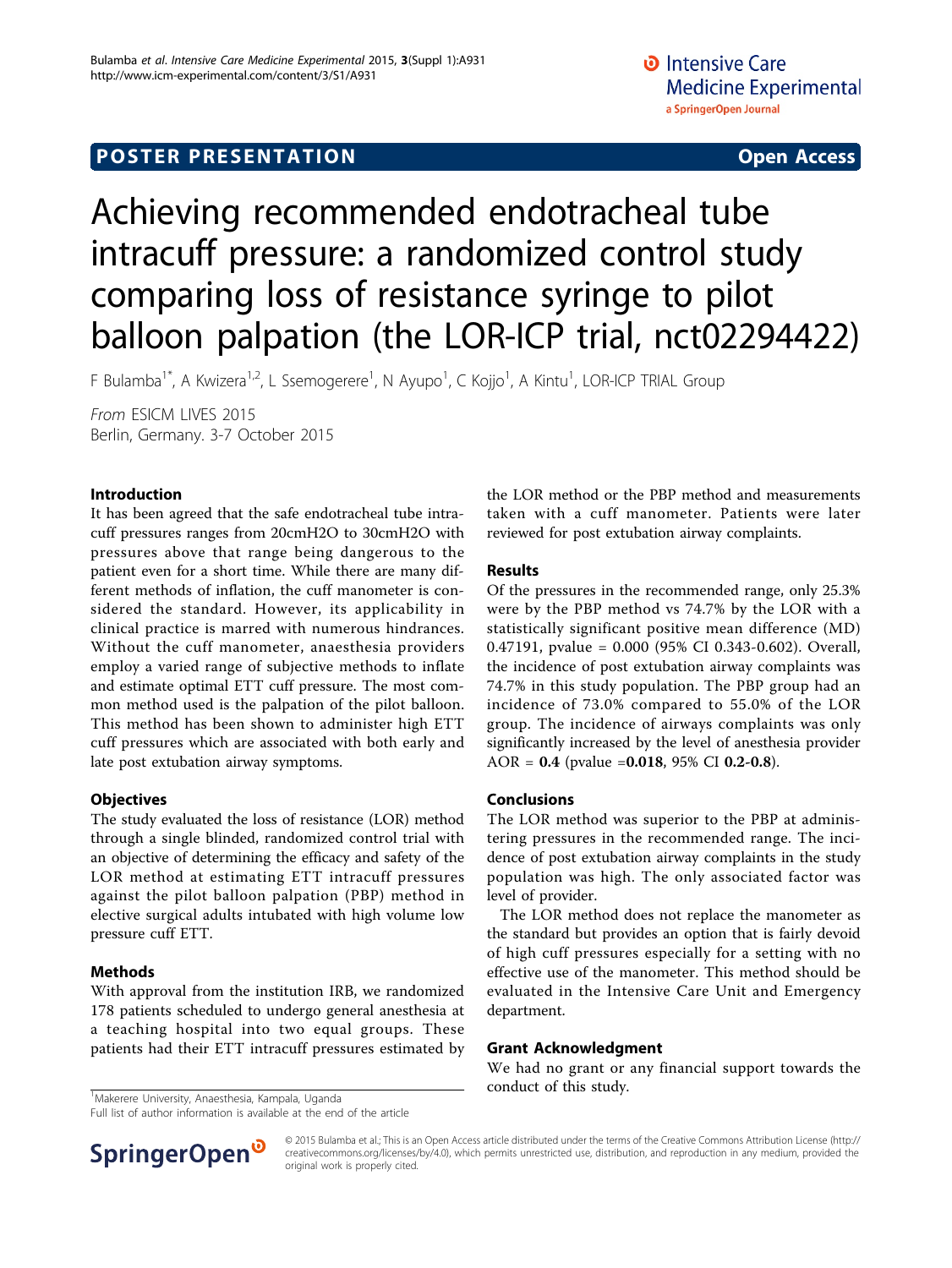# **POSTER PRESENTATION CONSUMING THE SERVICE SERVICE SERVICES**

# Achieving recommended endotracheal tube intracuff pressure: a randomized control study comparing loss of resistance syringe to pilot balloon palpation (the LOR-ICP trial, nct02294422)

F Bulamba<sup>1\*</sup>, A Kwizera<sup>1,2</sup>, L Ssemogerere<sup>1</sup>, N Ayupo<sup>1</sup>, C Kojjo<sup>1</sup>, A Kintu<sup>1</sup>, LOR-ICP TRIAL Group

From ESICM LIVES 2015 Berlin, Germany. 3-7 October 2015

#### Introduction

It has been agreed that the safe endotracheal tube intracuff pressures ranges from 20cmH2O to 30cmH2O with pressures above that range being dangerous to the patient even for a short time. While there are many different methods of inflation, the cuff manometer is considered the standard. However, its applicability in clinical practice is marred with numerous hindrances. Without the cuff manometer, anaesthesia providers employ a varied range of subjective methods to inflate and estimate optimal ETT cuff pressure. The most common method used is the palpation of the pilot balloon. This method has been shown to administer high ETT cuff pressures which are associated with both early and late post extubation airway symptoms.

#### **Objectives**

The study evaluated the loss of resistance (LOR) method through a single blinded, randomized control trial with an objective of determining the efficacy and safety of the LOR method at estimating ETT intracuff pressures against the pilot balloon palpation (PBP) method in elective surgical adults intubated with high volume low pressure cuff ETT.

### Methods

With approval from the institution IRB, we randomized 178 patients scheduled to undergo general anesthesia at a teaching hospital into two equal groups. These patients had their ETT intracuff pressures estimated by

<sup>1</sup>Makerere University, Anaesthesia, Kampala, Uganda<br>1

Full list of author information is available at the end of the article

the LOR method or the PBP method and measurements taken with a cuff manometer. Patients were later reviewed for post extubation airway complaints.

#### Results

Of the pressures in the recommended range, only 25.3% were by the PBP method vs 74.7% by the LOR with a statistically significant positive mean difference (MD) 0.47191, pvalue = 0.000 (95% CI 0.343-0.602). Overall, the incidence of post extubation airway complaints was 74.7% in this study population. The PBP group had an incidence of 73.0% compared to 55.0% of the LOR group. The incidence of airways complaints was only significantly increased by the level of anesthesia provider AOR =  $0.4$  (pvalue =  $0.018$ , 95% CI 0.2-0.8).

#### Conclusions

The LOR method was superior to the PBP at administering pressures in the recommended range. The incidence of post extubation airway complaints in the study population was high. The only associated factor was level of provider.

The LOR method does not replace the manometer as the standard but provides an option that is fairly devoid of high cuff pressures especially for a setting with no effective use of the manometer. This method should be evaluated in the Intensive Care Unit and Emergency department.

#### Grant Acknowledgment

We had no grant or any financial support towards the



© 2015 Bulamba et al.; This is an Open Access article distributed under the terms of the Creative Commons Attribution License [\(http://](http://creativecommons.org/licenses/by/4.0) [creativecommons.org/licenses/by/4.0](http://creativecommons.org/licenses/by/4.0)), which permits unrestricted use, distribution, and reproduction in any medium, provided the original work is properly cited.